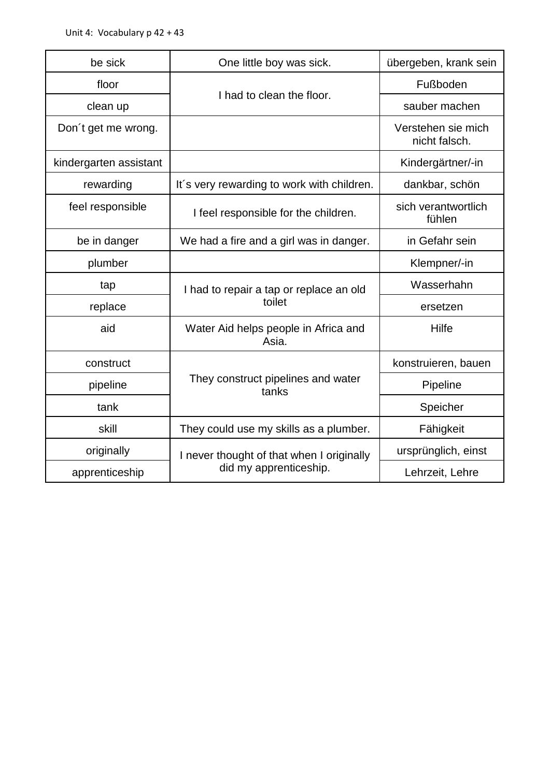| be sick                | One little boy was sick.                                            | übergeben, krank sein               |
|------------------------|---------------------------------------------------------------------|-------------------------------------|
| floor                  | I had to clean the floor.                                           | Fußboden                            |
| clean up               |                                                                     | sauber machen                       |
| Don't get me wrong.    |                                                                     | Verstehen sie mich<br>nicht falsch. |
| kindergarten assistant |                                                                     | Kindergärtner/-in                   |
| rewarding              | It's very rewarding to work with children.                          | dankbar, schön                      |
| feel responsible       | I feel responsible for the children.                                | sich verantwortlich<br>fühlen       |
| be in danger           | We had a fire and a girl was in danger.                             | in Gefahr sein                      |
| plumber                |                                                                     | Klempner/-in                        |
| tap                    | I had to repair a tap or replace an old<br>toilet                   | Wasserhahn                          |
| replace                |                                                                     | ersetzen                            |
| aid                    | Water Aid helps people in Africa and<br>Asia.                       | Hilfe                               |
| construct              | They construct pipelines and water<br>tanks                         | konstruieren, bauen                 |
| pipeline               |                                                                     | Pipeline                            |
| tank                   |                                                                     | Speicher                            |
| skill                  | They could use my skills as a plumber.                              | Fähigkeit                           |
| originally             | I never thought of that when I originally<br>did my apprenticeship. | ursprünglich, einst                 |
| apprenticeship         |                                                                     | Lehrzeit, Lehre                     |